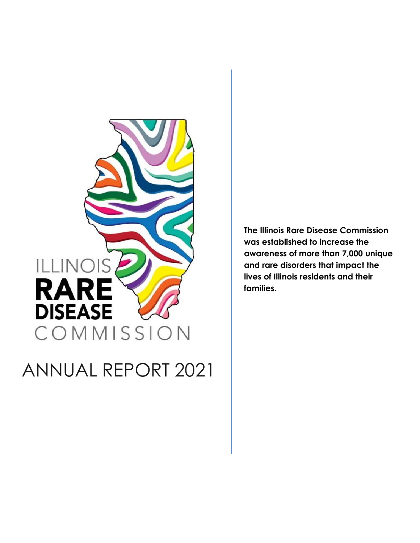

ANNUAL REPORT 2021

The Illinois Rare Disease Commission was established to increase the awareness of more than 7,000 unique and rare disorders that impact the lives of Illinois residents and their families.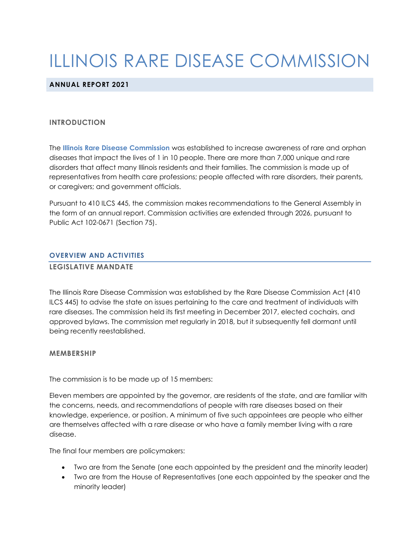# ILLINOIS RARE DISEASE COMMISSION

### ANNUAL REPORT 2021

#### INTRODUCTION

The Illinois Rare Disease Commission was established to increase awareness of rare and orphan diseases that impact the lives of 1 in 10 people. There are more than 7,000 unique and rare disorders that affect many Illinois residents and their families. The commission is made up of representatives from health care professions; people affected with rare disorders, their parents, or caregivers; and government officials.

Pursuant to 410 ILCS 445, the commission makes recommendations to the General Assembly in the form of an annual report. Commission activities are extended through 2026, pursuant to Public Act 102-0671 (Section 75).

#### OVERVIEW AND ACTIVITIES

#### LEGISLATIVE MANDATE

The Illinois Rare Disease Commission was established by the Rare Disease Commission Act (410 ILCS 445) to advise the state on issues pertaining to the care and treatment of individuals with rare diseases. The commission held its first meeting in December 2017, elected cochairs, and approved bylaws. The commission met regularly in 2018, but it subsequently fell dormant until being recently reestablished.

#### MEMBERSHIP

The commission is to be made up of 15 members:

Eleven members are appointed by the governor, are residents of the state, and are familiar with the concerns, needs, and recommendations of people with rare diseases based on their knowledge, experience, or position. A minimum of five such appointees are people who either are themselves affected with a rare disease or who have a family member living with a rare disease.

The final four members are policymakers:

- Two are from the Senate (one each appointed by the president and the minority leader)
- Two are from the House of Representatives (one each appointed by the speaker and the minority leader)